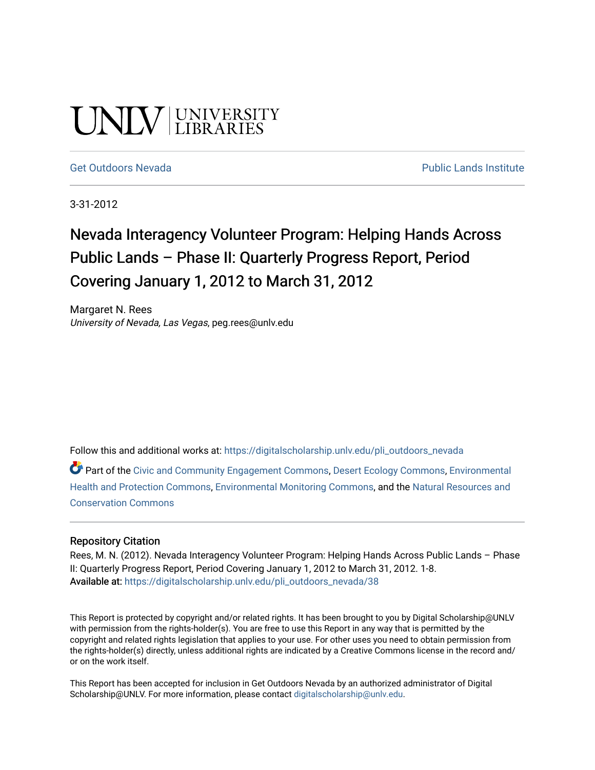# UNIV UNIVERSITY

[Get Outdoors Nevada](https://digitalscholarship.unlv.edu/pli_outdoors_nevada) **Public Lands Institute** Public Lands Institute

3-31-2012

# Nevada Interagency Volunteer Program: Helping Hands Across Public Lands – Phase II: Quarterly Progress Report, Period Covering January 1, 2012 to March 31, 2012

Margaret N. Rees University of Nevada, Las Vegas, peg.rees@unlv.edu

Follow this and additional works at: [https://digitalscholarship.unlv.edu/pli\\_outdoors\\_nevada](https://digitalscholarship.unlv.edu/pli_outdoors_nevada?utm_source=digitalscholarship.unlv.edu%2Fpli_outdoors_nevada%2F38&utm_medium=PDF&utm_campaign=PDFCoverPages)

Part of the [Civic and Community Engagement Commons](http://network.bepress.com/hgg/discipline/1028?utm_source=digitalscholarship.unlv.edu%2Fpli_outdoors_nevada%2F38&utm_medium=PDF&utm_campaign=PDFCoverPages), [Desert Ecology Commons](http://network.bepress.com/hgg/discipline/1261?utm_source=digitalscholarship.unlv.edu%2Fpli_outdoors_nevada%2F38&utm_medium=PDF&utm_campaign=PDFCoverPages), [Environmental](http://network.bepress.com/hgg/discipline/172?utm_source=digitalscholarship.unlv.edu%2Fpli_outdoors_nevada%2F38&utm_medium=PDF&utm_campaign=PDFCoverPages) [Health and Protection Commons](http://network.bepress.com/hgg/discipline/172?utm_source=digitalscholarship.unlv.edu%2Fpli_outdoors_nevada%2F38&utm_medium=PDF&utm_campaign=PDFCoverPages), [Environmental Monitoring Commons,](http://network.bepress.com/hgg/discipline/931?utm_source=digitalscholarship.unlv.edu%2Fpli_outdoors_nevada%2F38&utm_medium=PDF&utm_campaign=PDFCoverPages) and the [Natural Resources and](http://network.bepress.com/hgg/discipline/168?utm_source=digitalscholarship.unlv.edu%2Fpli_outdoors_nevada%2F38&utm_medium=PDF&utm_campaign=PDFCoverPages) [Conservation Commons](http://network.bepress.com/hgg/discipline/168?utm_source=digitalscholarship.unlv.edu%2Fpli_outdoors_nevada%2F38&utm_medium=PDF&utm_campaign=PDFCoverPages)

#### Repository Citation

Rees, M. N. (2012). Nevada Interagency Volunteer Program: Helping Hands Across Public Lands – Phase II: Quarterly Progress Report, Period Covering January 1, 2012 to March 31, 2012. 1-8. Available at: [https://digitalscholarship.unlv.edu/pli\\_outdoors\\_nevada/38](https://digitalscholarship.unlv.edu/pli_outdoors_nevada/38) 

This Report is protected by copyright and/or related rights. It has been brought to you by Digital Scholarship@UNLV with permission from the rights-holder(s). You are free to use this Report in any way that is permitted by the copyright and related rights legislation that applies to your use. For other uses you need to obtain permission from the rights-holder(s) directly, unless additional rights are indicated by a Creative Commons license in the record and/ or on the work itself.

This Report has been accepted for inclusion in Get Outdoors Nevada by an authorized administrator of Digital Scholarship@UNLV. For more information, please contact [digitalscholarship@unlv.edu.](mailto:digitalscholarship@unlv.edu)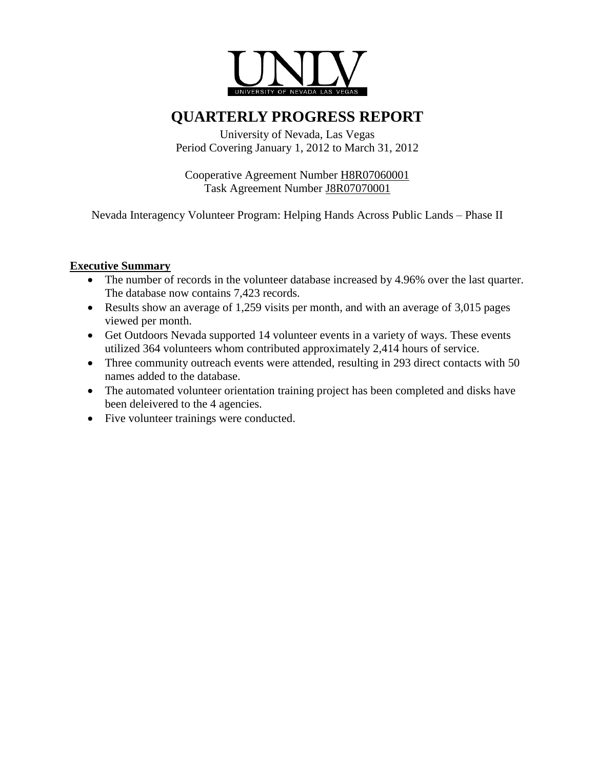

## **QUARTERLY PROGRESS REPORT**

University of Nevada, Las Vegas Period Covering January 1, 2012 to March 31, 2012

Cooperative Agreement Number H8R07060001 Task Agreement Number J8R07070001

Nevada Interagency Volunteer Program: Helping Hands Across Public Lands – Phase II

#### **Executive Summary**

- The number of records in the volunteer database increased by 4.96% over the last quarter. The database now contains 7,423 records.
- Results show an average of 1,259 visits per month, and with an average of 3,015 pages viewed per month.
- Get Outdoors Nevada supported 14 volunteer events in a variety of ways. These events utilized 364 volunteers whom contributed approximately 2,414 hours of service.
- Three community outreach events were attended, resulting in 293 direct contacts with 50 names added to the database.
- The automated volunteer orientation training project has been completed and disks have been deleivered to the 4 agencies.
- Five volunteer trainings were conducted.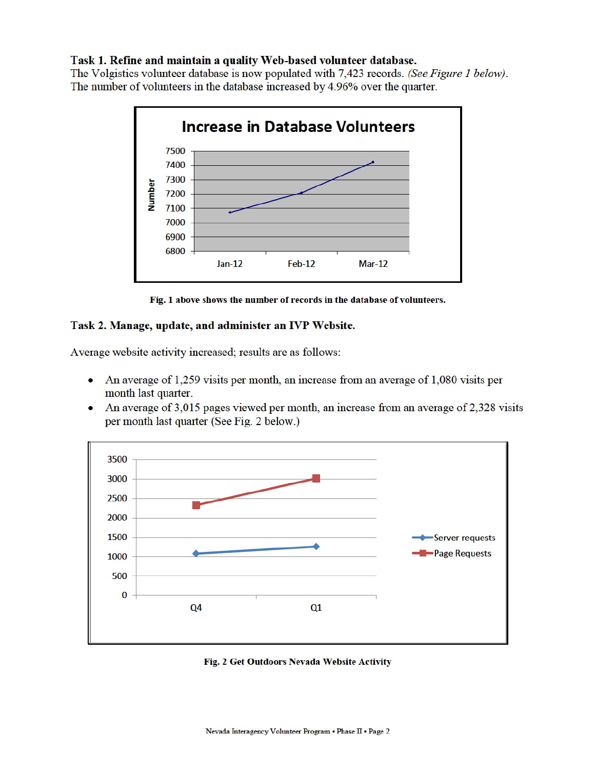#### Task 1. Refine and maintain a quality Web-based volunteer database.

The Volgistics volunteer database is now populated with 7,423 records. (See Figure 1 below). The number of volunteers in the database increased by 4.96% over the quarter.



Fig. 1 above shows the number of records in the database of volunteers.

#### Task 2. Manage, update, and administer an IVP Website.

Average website activity increased; results are as follows:

- An average of 1,259 visits per month, an increase from an average of 1,080 visits per  $\bullet$ month last quarter.
- An average of 3,015 pages viewed per month, an increase from an average of 2,328 visits ۰ per month last quarter (See Fig. 2 below.)



Fig. 2 Get Outdoors Nevada Website Activity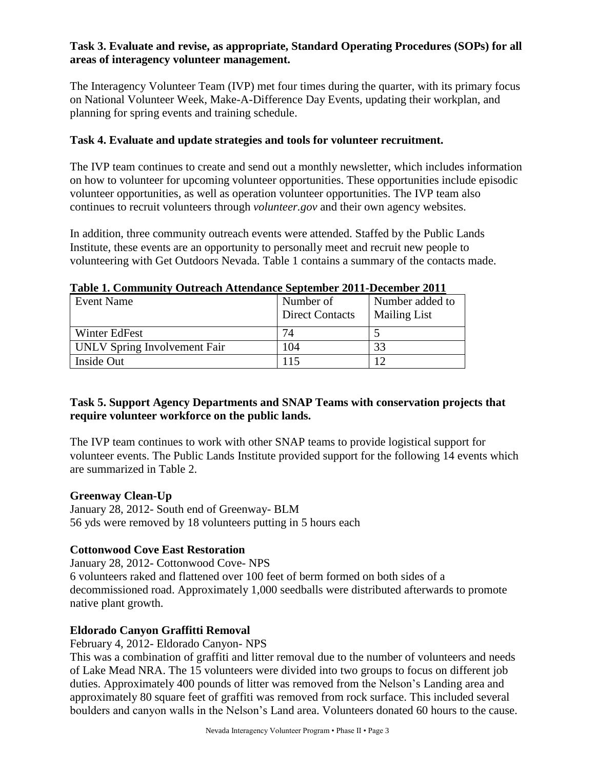#### **Task 3. Evaluate and revise, as appropriate, Standard Operating Procedures (SOPs) for all areas of interagency volunteer management.**

The Interagency Volunteer Team (IVP) met four times during the quarter, with its primary focus on National Volunteer Week, Make-A-Difference Day Events, updating their workplan, and planning for spring events and training schedule.

#### **Task 4. Evaluate and update strategies and tools for volunteer recruitment.**

The IVP team continues to create and send out a monthly newsletter, which includes information on how to volunteer for upcoming volunteer opportunities. These opportunities include episodic volunteer opportunities, as well as operation volunteer opportunities. The IVP team also continues to recruit volunteers through *volunteer.gov* and their own agency websites.

In addition, three community outreach events were attended. Staffed by the Public Lands Institute, these events are an opportunity to personally meet and recruit new people to volunteering with Get Outdoors Nevada. Table 1 contains a summary of the contacts made.

| <b>Event Name</b>            | Number of<br><b>Direct Contacts</b> | Number added to<br><b>Mailing List</b> |
|------------------------------|-------------------------------------|----------------------------------------|
| Winter EdFest                | 74                                  |                                        |
| UNLV Spring Involvement Fair | 104                                 | 33                                     |
| Inside Out                   | 115                                 |                                        |

#### **Table 1. Community Outreach Attendance September 2011-December 2011**

#### **Task 5. Support Agency Departments and SNAP Teams with conservation projects that require volunteer workforce on the public lands.**

The IVP team continues to work with other SNAP teams to provide logistical support for volunteer events. The Public Lands Institute provided support for the following 14 events which are summarized in Table 2.

#### **Greenway Clean-Up**

January 28, 2012- South end of Greenway- BLM 56 yds were removed by 18 volunteers putting in 5 hours each

#### **Cottonwood Cove East Restoration**

January 28, 2012- Cottonwood Cove- NPS 6 volunteers raked and flattened over 100 feet of berm formed on both sides of a decommissioned road. Approximately 1,000 seedballs were distributed afterwards to promote native plant growth.

#### **Eldorado Canyon Graffitti Removal**

February 4, 2012- Eldorado Canyon- NPS

This was a combination of graffiti and litter removal due to the number of volunteers and needs of Lake Mead NRA. The 15 volunteers were divided into two groups to focus on different job duties. Approximately 400 pounds of litter was removed from the Nelson's Landing area and approximately 80 square feet of graffiti was removed from rock surface. This included several boulders and canyon walls in the Nelson's Land area. Volunteers donated 60 hours to the cause.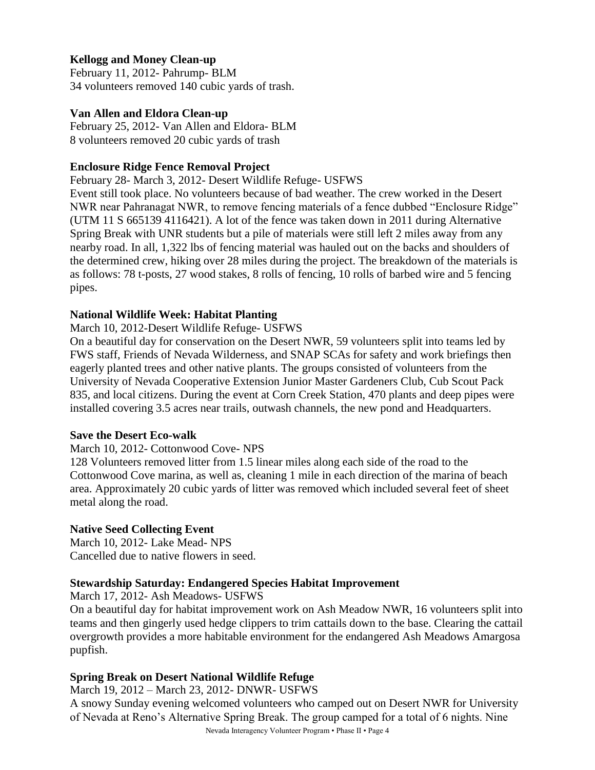#### **Kellogg and Money Clean-up**

February 11, 2012- Pahrump- BLM 34 volunteers removed 140 cubic yards of trash.

#### **Van Allen and Eldora Clean-up**

February 25, 2012- Van Allen and Eldora- BLM 8 volunteers removed 20 cubic yards of trash

#### **Enclosure Ridge Fence Removal Project**

February 28- March 3, 2012- Desert Wildlife Refuge- USFWS

Event still took place. No volunteers because of bad weather. The crew worked in the Desert NWR near Pahranagat NWR, to remove fencing materials of a fence dubbed "Enclosure Ridge" (UTM 11 S 665139 4116421). A lot of the fence was taken down in 2011 during Alternative Spring Break with UNR students but a pile of materials were still left 2 miles away from any nearby road. In all, 1,322 lbs of fencing material was hauled out on the backs and shoulders of the determined crew, hiking over 28 miles during the project. The breakdown of the materials is as follows: 78 t-posts, 27 wood stakes, 8 rolls of fencing, 10 rolls of barbed wire and 5 fencing pipes.

#### **National Wildlife Week: Habitat Planting**

#### March 10, 2012-Desert Wildlife Refuge- USFWS

On a beautiful day for conservation on the Desert NWR, 59 volunteers split into teams led by FWS staff, Friends of Nevada Wilderness, and SNAP SCAs for safety and work briefings then eagerly planted trees and other native plants. The groups consisted of volunteers from the University of Nevada Cooperative Extension Junior Master Gardeners Club, Cub Scout Pack 835, and local citizens. During the event at Corn Creek Station, 470 plants and deep pipes were installed covering 3.5 acres near trails, outwash channels, the new pond and Headquarters.

#### **Save the Desert Eco-walk**

#### March 10, 2012- Cottonwood Cove- NPS

128 Volunteers removed litter from 1.5 linear miles along each side of the road to the Cottonwood Cove marina, as well as, cleaning 1 mile in each direction of the marina of beach area. Approximately 20 cubic yards of litter was removed which included several feet of sheet metal along the road.

#### **Native Seed Collecting Event**

March 10, 2012- Lake Mead- NPS Cancelled due to native flowers in seed.

#### **Stewardship Saturday: Endangered Species Habitat Improvement**

March 17, 2012- Ash Meadows- USFWS

On a beautiful day for habitat improvement work on Ash Meadow NWR, 16 volunteers split into teams and then gingerly used hedge clippers to trim cattails down to the base. Clearing the cattail overgrowth provides a more habitable environment for the endangered Ash Meadows Amargosa pupfish.

#### **Spring Break on Desert National Wildlife Refuge**

March 19, 2012 – March 23, 2012- DNWR- USFWS

Nevada Interagency Volunteer Program • Phase II • Page 4 A snowy Sunday evening welcomed volunteers who camped out on Desert NWR for University of Nevada at Reno's Alternative Spring Break. The group camped for a total of 6 nights. Nine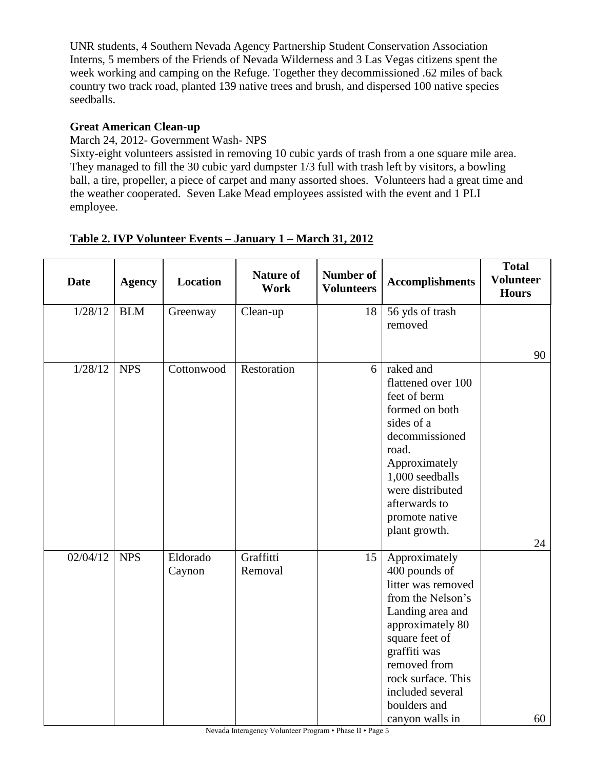UNR students, 4 Southern Nevada Agency Partnership Student Conservation Association Interns, 5 members of the Friends of Nevada Wilderness and 3 Las Vegas citizens spent the week working and camping on the Refuge. Together they decommissioned .62 miles of back country two track road, planted 139 native trees and brush, and dispersed 100 native species seedballs.

#### **Great American Clean-up**

March 24, 2012- Government Wash- NPS

Sixty-eight volunteers assisted in removing 10 cubic yards of trash from a one square mile area. They managed to fill the 30 cubic yard dumpster 1/3 full with trash left by visitors, a bowling ball, a tire, propeller, a piece of carpet and many assorted shoes. Volunteers had a great time and the weather cooperated. Seven Lake Mead employees assisted with the event and 1 PLI employee.

| <b>Date</b> | <b>Agency</b> | <b>Location</b> | <b>Nature of</b><br><b>Work</b> | <b>Number of</b><br><b>Volunteers</b> | <b>Accomplishments</b>             | <b>Total</b><br><b>Volunteer</b><br><b>Hours</b> |
|-------------|---------------|-----------------|---------------------------------|---------------------------------------|------------------------------------|--------------------------------------------------|
| 1/28/12     | <b>BLM</b>    | Greenway        | Clean-up                        | 18                                    | 56 yds of trash                    |                                                  |
|             |               |                 |                                 |                                       | removed                            |                                                  |
|             |               |                 |                                 |                                       |                                    | 90                                               |
| 1/28/12     | <b>NPS</b>    | Cottonwood      | Restoration                     | 6                                     | raked and                          |                                                  |
|             |               |                 |                                 |                                       | flattened over 100<br>feet of berm |                                                  |
|             |               |                 |                                 |                                       | formed on both                     |                                                  |
|             |               |                 |                                 |                                       | sides of a                         |                                                  |
|             |               |                 |                                 |                                       | decommissioned                     |                                                  |
|             |               |                 |                                 |                                       | road.                              |                                                  |
|             |               |                 |                                 |                                       | Approximately<br>1,000 seedballs   |                                                  |
|             |               |                 |                                 |                                       | were distributed                   |                                                  |
|             |               |                 |                                 |                                       | afterwards to                      |                                                  |
|             |               |                 |                                 |                                       | promote native                     |                                                  |
|             |               |                 |                                 |                                       | plant growth.                      |                                                  |
| 02/04/12    | <b>NPS</b>    | Eldorado        | Graffitti                       | 15                                    |                                    | 24                                               |
|             |               | Caynon          | Removal                         |                                       | Approximately<br>400 pounds of     |                                                  |
|             |               |                 |                                 |                                       | litter was removed                 |                                                  |
|             |               |                 |                                 |                                       | from the Nelson's                  |                                                  |
|             |               |                 |                                 |                                       | Landing area and                   |                                                  |
|             |               |                 |                                 |                                       | approximately 80                   |                                                  |
|             |               |                 |                                 |                                       | square feet of<br>graffiti was     |                                                  |
|             |               |                 |                                 |                                       | removed from                       |                                                  |
|             |               |                 |                                 |                                       | rock surface. This                 |                                                  |
|             |               |                 |                                 |                                       | included several                   |                                                  |
|             |               |                 |                                 |                                       | boulders and                       |                                                  |
|             |               |                 |                                 |                                       | canyon walls in                    | 60                                               |

### **Table 2. IVP Volunteer Events – January 1 – March 31, 2012**

Nevada Interagency Volunteer Program • Phase II • Page 5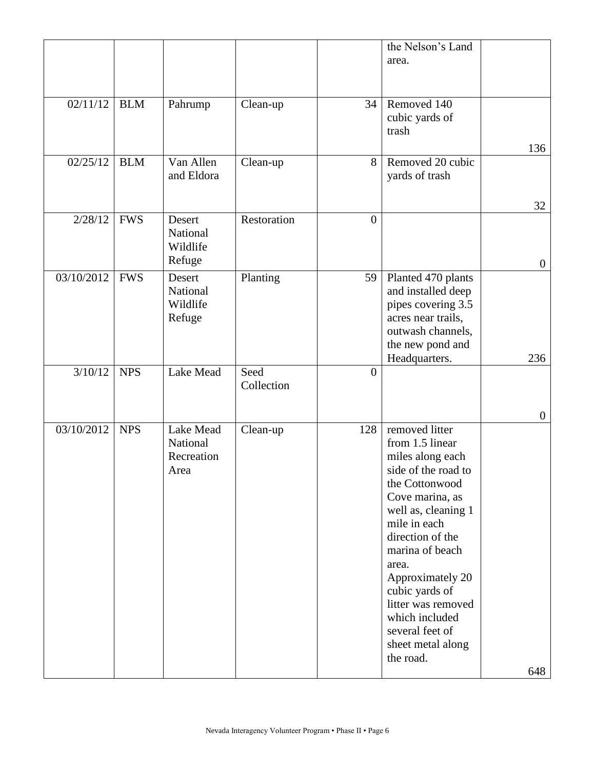|            |            |                                             |                    |                | the Nelson's Land<br>area.                                                                                                                                                                                                                                                                                                                  |                  |
|------------|------------|---------------------------------------------|--------------------|----------------|---------------------------------------------------------------------------------------------------------------------------------------------------------------------------------------------------------------------------------------------------------------------------------------------------------------------------------------------|------------------|
| 02/11/12   | <b>BLM</b> | Pahrump                                     | Clean-up           | 34             | Removed 140<br>cubic yards of<br>trash                                                                                                                                                                                                                                                                                                      | 136              |
| 02/25/12   | <b>BLM</b> | Van Allen<br>and Eldora                     | Clean-up           | 8              | Removed 20 cubic<br>yards of trash                                                                                                                                                                                                                                                                                                          | 32               |
| 2/28/12    | <b>FWS</b> | Desert<br>National<br>Wildlife<br>Refuge    | Restoration        | $\overline{0}$ |                                                                                                                                                                                                                                                                                                                                             | $\boldsymbol{0}$ |
| 03/10/2012 | <b>FWS</b> | Desert<br>National<br>Wildlife<br>Refuge    | Planting           | 59             | Planted 470 plants<br>and installed deep<br>pipes covering 3.5<br>acres near trails,<br>outwash channels,<br>the new pond and<br>Headquarters.                                                                                                                                                                                              | 236              |
| 3/10/12    | <b>NPS</b> | Lake Mead                                   | Seed<br>Collection | $\overline{0}$ |                                                                                                                                                                                                                                                                                                                                             | $\boldsymbol{0}$ |
| 03/10/2012 | <b>NPS</b> | Lake Mead<br>National<br>Recreation<br>Area | Clean-up           | 128            | removed litter<br>from 1.5 linear<br>miles along each<br>side of the road to<br>the Cottonwood<br>Cove marina, as<br>well as, cleaning 1<br>mile in each<br>direction of the<br>marina of beach<br>area.<br>Approximately 20<br>cubic yards of<br>litter was removed<br>which included<br>several feet of<br>sheet metal along<br>the road. | 648              |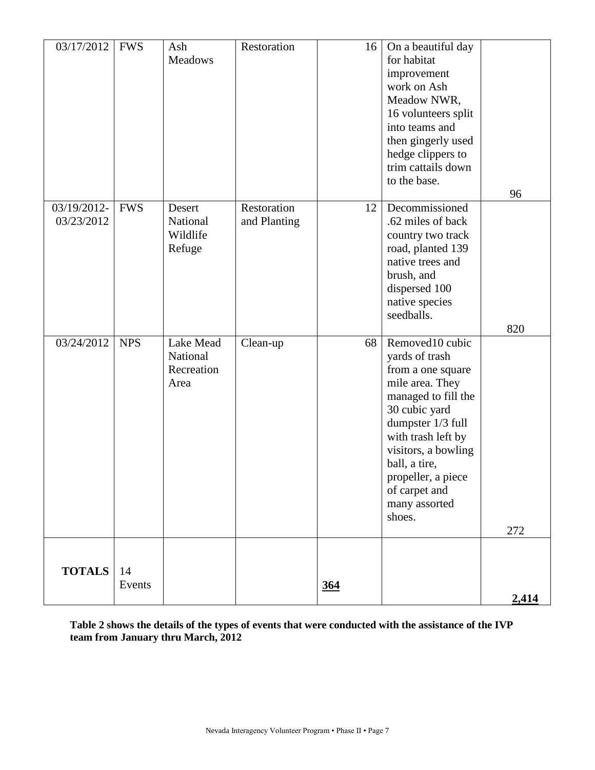| 03/17/2012                | <b>FWS</b>   | Ash<br><b>Meadows</b>                       | Restoration                 | 16         | On a beautiful day<br>for habitat<br>improvement<br>work on Ash<br>Meadow NWR,<br>16 volunteers split<br>into teams and<br>then gingerly used<br>hedge clippers to<br>trim cattails down<br>to the base.                                                               | 96    |
|---------------------------|--------------|---------------------------------------------|-----------------------------|------------|------------------------------------------------------------------------------------------------------------------------------------------------------------------------------------------------------------------------------------------------------------------------|-------|
| 03/19/2012-<br>03/23/2012 | <b>FWS</b>   | Desert<br>National<br>Wildlife<br>Refuge    | Restoration<br>and Planting | 12         | Decommissioned<br>.62 miles of back<br>country two track<br>road, planted 139<br>native trees and<br>brush, and<br>dispersed 100<br>native species<br>seedballs.                                                                                                       | 820   |
| $\overline{03}/24/2012$   | <b>NPS</b>   | Lake Mead<br>National<br>Recreation<br>Area | Clean-up                    | 68         | Removed10 cubic<br>yards of trash<br>from a one square<br>mile area. They<br>managed to fill the<br>30 cubic yard<br>dumpster 1/3 full<br>with trash left by<br>visitors, a bowling<br>ball, a tire,<br>propeller, a piece<br>of carpet and<br>many assorted<br>shoes. | 272   |
| <b>TOTALS</b>             | 14<br>Events |                                             |                             | <u>364</u> |                                                                                                                                                                                                                                                                        | 2,414 |

**Table 2 shows the details of the types of events that were conducted with the assistance of the IVP team from January thru March, 2012**